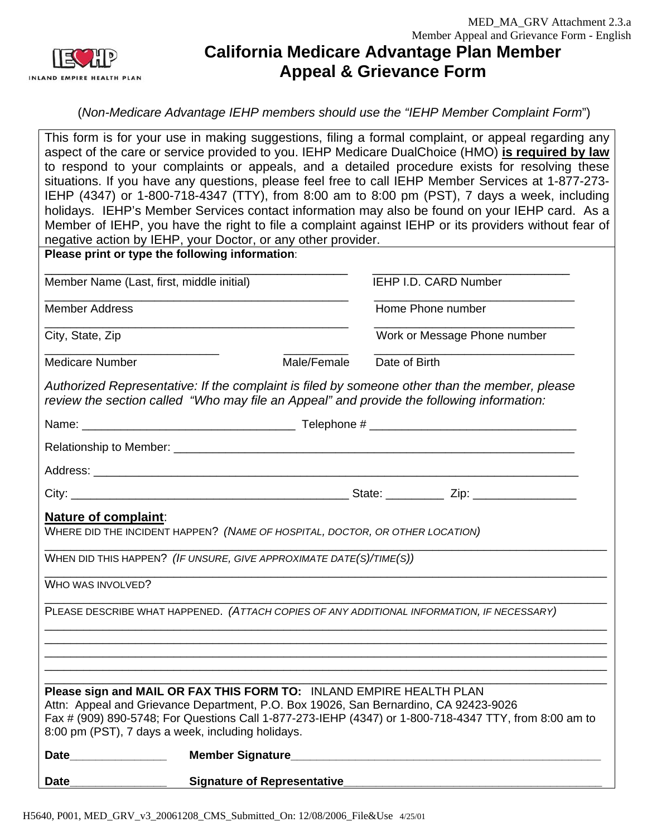

# **California Medicare Advantage Plan Member Appeal & Grievance Form**

(*Non-Medicare Advantage IEHP members should use the "IEHP Member Complaint Form*")

This form is for your use in making suggestions, filing a formal complaint, or appeal regarding any aspect of the care or service provided to you. IEHP Medicare DualChoice (HMO) **is required by law** to respond to your complaints or appeals, and a detailed procedure exists for resolving these situations. If you have any questions, please feel free to call IEHP Member Services at 1-877-273- IEHP (4347) or 1-800-718-4347 (TTY), from 8:00 am to 8:00 pm (PST), 7 days a week, including holidays. IEHP's Member Services contact information may also be found on your IEHP card. As a Member of IEHP, you have the right to file a complaint against IEHP or its providers without fear of negative action by IEHP, your Doctor, or any other provider.

|                                           | riegative action by ILIT, your Doctor, or any other provider.<br>Please print or type the following information:                                                                                                              |                                                                                                       |
|-------------------------------------------|-------------------------------------------------------------------------------------------------------------------------------------------------------------------------------------------------------------------------------|-------------------------------------------------------------------------------------------------------|
| Member Name (Last, first, middle initial) |                                                                                                                                                                                                                               | IEHP I.D. CARD Number                                                                                 |
| <b>Member Address</b>                     |                                                                                                                                                                                                                               | Home Phone number                                                                                     |
| City, State, Zip                          |                                                                                                                                                                                                                               | Work or Message Phone number                                                                          |
| <b>Medicare Number</b>                    | Male/Female                                                                                                                                                                                                                   | Date of Birth                                                                                         |
|                                           | Authorized Representative: If the complaint is filed by someone other than the member, please<br>review the section called "Who may file an Appeal" and provide the following information:                                    |                                                                                                       |
|                                           |                                                                                                                                                                                                                               |                                                                                                       |
|                                           | Relationship to Member: Department of the control of the control of the control of the control of the control of the control of the control of the control of the control of the control of the control of the control of the |                                                                                                       |
|                                           |                                                                                                                                                                                                                               |                                                                                                       |
|                                           |                                                                                                                                                                                                                               |                                                                                                       |
| <b>Nature of complaint:</b>               | WHERE DID THE INCIDENT HAPPEN? (NAME OF HOSPITAL, DOCTOR, OR OTHER LOCATION)                                                                                                                                                  |                                                                                                       |
|                                           | WHEN DID THIS HAPPEN? (IF UNSURE, GIVE APPROXIMATE DATE(S)/TIME(S))                                                                                                                                                           |                                                                                                       |
| WHO WAS INVOLVED?                         |                                                                                                                                                                                                                               |                                                                                                       |
|                                           | PLEASE DESCRIBE WHAT HAPPENED. (ATTACH COPIES OF ANY ADDITIONAL INFORMATION, IF NECESSARY)                                                                                                                                    |                                                                                                       |
|                                           |                                                                                                                                                                                                                               |                                                                                                       |
|                                           | Please sign and MAIL OR FAX THIS FORM TO: INLAND EMPIRE HEALTH PLAN<br>Attn: Appeal and Grievance Department, P.O. Box 19026, San Bernardino, CA 92423-9026<br>8:00 pm (PST), 7 days a week, including holidays.              | Fax # (909) 890-5748; For Questions Call 1-877-273-IEHP (4347) or 1-800-718-4347 TTY, from 8:00 am to |
| Date _______________                      |                                                                                                                                                                                                                               |                                                                                                       |
| <b>Date</b>                               | <b>Signature of Representative</b>                                                                                                                                                                                            |                                                                                                       |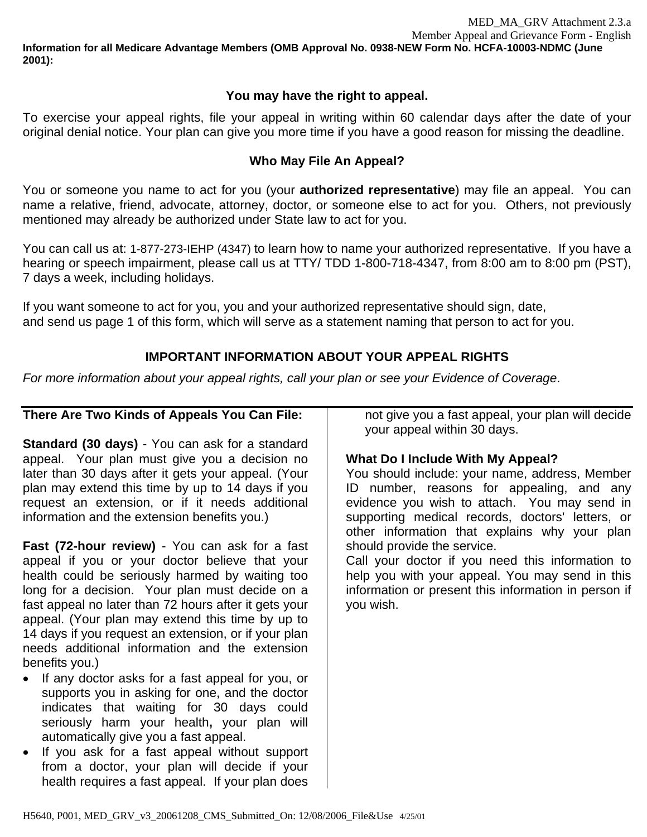MED\_MA\_GRV Attachment 2.3.a Member Appeal and Grievance Form - English **Information for all Medicare Advantage Members (OMB Approval No. 0938-NEW Form No. HCFA-10003-NDMC (June 2001):** 

# **You may have the right to appeal.**

To exercise your appeal rights, file your appeal in writing within 60 calendar days after the date of your original denial notice. Your plan can give you more time if you have a good reason for missing the deadline.

# **Who May File An Appeal?**

You or someone you name to act for you (your **authorized representative**) may file an appeal. You can name a relative, friend, advocate, attorney, doctor, or someone else to act for you. Others, not previously mentioned may already be authorized under State law to act for you.

You can call us at: 1-877-273-IEHP (4347) to learn how to name your authorized representative. If you have a hearing or speech impairment, please call us at TTY/ TDD 1-800-718-4347, from 8:00 am to 8:00 pm (PST), 7 days a week, including holidays.

If you want someone to act for you, you and your authorized representative should sign, date, and send us page 1 of this form, which will serve as a statement naming that person to act for you.

# **IMPORTANT INFORMATION ABOUT YOUR APPEAL RIGHTS**

*For more information about your appeal rights, call your plan or see your Evidence of Coverage*.

#### **There Are Two Kinds of Appeals You Can File: Standard (30 days)** - You can ask for a standard appeal. Your plan must give you a decision no later than 30 days after it gets your appeal. (Your plan may extend this time by up to 14 days if you request an extension, or if it needs additional information and the extension benefits you.) **Fast (72-hour review)** - You can ask for a fast appeal if you or your doctor believe that your health could be seriously harmed by waiting too long for a decision. Your plan must decide on a fast appeal no later than 72 hours after it gets your appeal. (Your plan may extend this time by up to 14 days if you request an extension, or if your plan needs additional information and the extension benefits you.) • If any doctor asks for a fast appeal for you, or supports you in asking for one, and the doctor indicates that waiting for 30 days could seriously harm your health**,** your plan will automatically give you a fast appeal. • If you ask for a fast appeal without support from a doctor, your plan will decide if your health requires a fast appeal. If your plan does not give you a fast appeal, your plan will decide your appeal within 30 days. **What Do I Include With My Appeal?**  You should include: your name, address, Member ID number, reasons for appealing, and any evidence you wish to attach. You may send in supporting medical records, doctors' letters, or other information that explains why your plan should provide the service. Call your doctor if you need this information to help you with your appeal. You may send in this information or present this information in person if you wish.